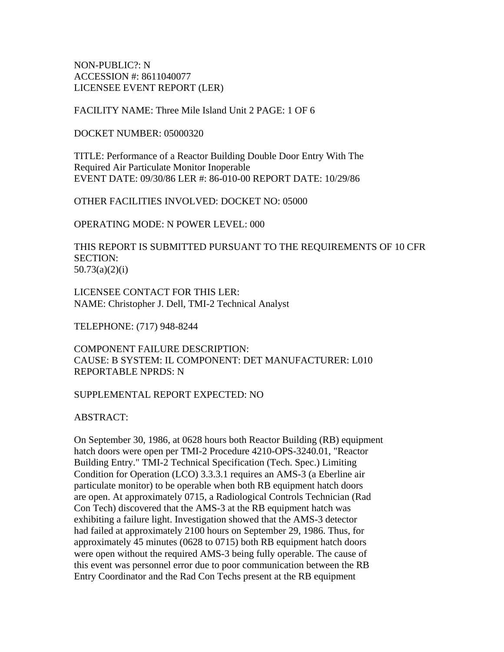NON-PUBLIC?: N ACCESSION #: 8611040077 LICENSEE EVENT REPORT (LER)

FACILITY NAME: Three Mile Island Unit 2 PAGE: 1 OF 6

DOCKET NUMBER: 05000320

TITLE: Performance of a Reactor Building Double Door Entry With The Required Air Particulate Monitor Inoperable EVENT DATE: 09/30/86 LER #: 86-010-00 REPORT DATE: 10/29/86

OTHER FACILITIES INVOLVED: DOCKET NO: 05000

OPERATING MODE: N POWER LEVEL: 000

THIS REPORT IS SUBMITTED PURSUANT TO THE REQUIREMENTS OF 10 CFR SECTION: 50.73(a)(2)(i)

LICENSEE CONTACT FOR THIS LER: NAME: Christopher J. Dell, TMI-2 Technical Analyst

TELEPHONE: (717) 948-8244

COMPONENT FAILURE DESCRIPTION: CAUSE: B SYSTEM: IL COMPONENT: DET MANUFACTURER: L010 REPORTABLE NPRDS: N

### SUPPLEMENTAL REPORT EXPECTED: NO

ABSTRACT:

On September 30, 1986, at 0628 hours both Reactor Building (RB) equipment hatch doors were open per TMI-2 Procedure 4210-OPS-3240.01, "Reactor Building Entry." TMI-2 Technical Specification (Tech. Spec.) Limiting Condition for Operation (LCO) 3.3.3.1 requires an AMS-3 (a Eberline air particulate monitor) to be operable when both RB equipment hatch doors are open. At approximately 0715, a Radiological Controls Technician (Rad Con Tech) discovered that the AMS-3 at the RB equipment hatch was exhibiting a failure light. Investigation showed that the AMS-3 detector had failed at approximately 2100 hours on September 29, 1986. Thus, for approximately 45 minutes (0628 to 0715) both RB equipment hatch doors were open without the required AMS-3 being fully operable. The cause of this event was personnel error due to poor communication between the RB Entry Coordinator and the Rad Con Techs present at the RB equipment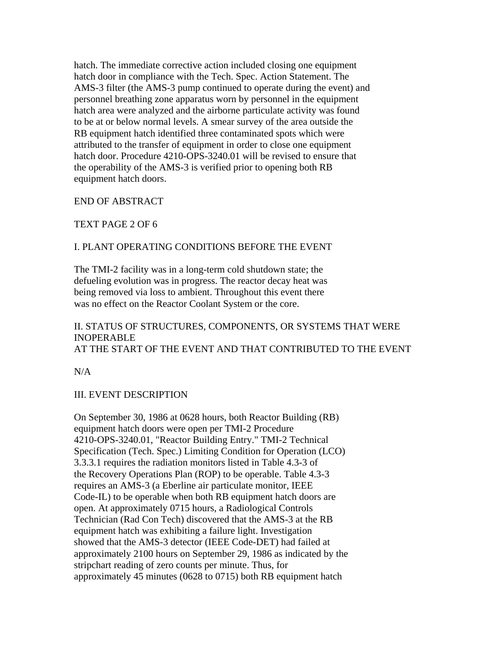hatch. The immediate corrective action included closing one equipment hatch door in compliance with the Tech. Spec. Action Statement. The AMS-3 filter (the AMS-3 pump continued to operate during the event) and personnel breathing zone apparatus worn by personnel in the equipment hatch area were analyzed and the airborne particulate activity was found to be at or below normal levels. A smear survey of the area outside the RB equipment hatch identified three contaminated spots which were attributed to the transfer of equipment in order to close one equipment hatch door. Procedure 4210-OPS-3240.01 will be revised to ensure that the operability of the AMS-3 is verified prior to opening both RB equipment hatch doors.

END OF ABSTRACT

TEXT PAGE 2 OF 6

# I. PLANT OPERATING CONDITIONS BEFORE THE EVENT

The TMI-2 facility was in a long-term cold shutdown state; the defueling evolution was in progress. The reactor decay heat was being removed via loss to ambient. Throughout this event there was no effect on the Reactor Coolant System or the core.

## II. STATUS OF STRUCTURES, COMPONENTS, OR SYSTEMS THAT WERE INOPERABLE AT THE START OF THE EVENT AND THAT CONTRIBUTED TO THE EVENT

N/A

# III. EVENT DESCRIPTION

On September 30, 1986 at 0628 hours, both Reactor Building (RB) equipment hatch doors were open per TMI-2 Procedure 4210-OPS-3240.01, "Reactor Building Entry." TMI-2 Technical Specification (Tech. Spec.) Limiting Condition for Operation (LCO) 3.3.3.1 requires the radiation monitors listed in Table 4.3-3 of the Recovery Operations Plan (ROP) to be operable. Table 4.3-3 requires an AMS-3 (a Eberline air particulate monitor, IEEE Code-IL) to be operable when both RB equipment hatch doors are open. At approximately 0715 hours, a Radiological Controls Technician (Rad Con Tech) discovered that the AMS-3 at the RB equipment hatch was exhibiting a failure light. Investigation showed that the AMS-3 detector (IEEE Code-DET) had failed at approximately 2100 hours on September 29, 1986 as indicated by the stripchart reading of zero counts per minute. Thus, for approximately 45 minutes (0628 to 0715) both RB equipment hatch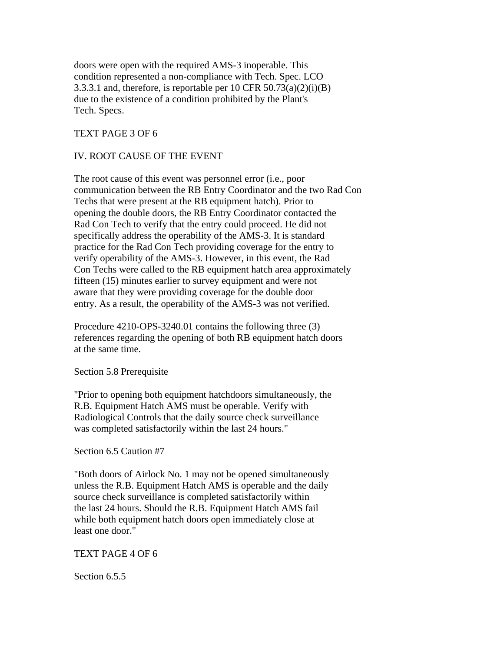doors were open with the required AMS-3 inoperable. This condition represented a non-compliance with Tech. Spec. LCO 3.3.3.1 and, therefore, is reportable per 10 CFR  $50.73(a)(2)(i)(B)$ due to the existence of a condition prohibited by the Plant's Tech. Specs.

### TEXT PAGE 3 OF 6

### IV. ROOT CAUSE OF THE EVENT

The root cause of this event was personnel error (i.e., poor communication between the RB Entry Coordinator and the two Rad Con Techs that were present at the RB equipment hatch). Prior to opening the double doors, the RB Entry Coordinator contacted the Rad Con Tech to verify that the entry could proceed. He did not specifically address the operability of the AMS-3. It is standard practice for the Rad Con Tech providing coverage for the entry to verify operability of the AMS-3. However, in this event, the Rad Con Techs were called to the RB equipment hatch area approximately fifteen (15) minutes earlier to survey equipment and were not aware that they were providing coverage for the double door entry. As a result, the operability of the AMS-3 was not verified.

Procedure 4210-OPS-3240.01 contains the following three (3) references regarding the opening of both RB equipment hatch doors at the same time.

#### Section 5.8 Prerequisite

"Prior to opening both equipment hatchdoors simultaneously, the R.B. Equipment Hatch AMS must be operable. Verify with Radiological Controls that the daily source check surveillance was completed satisfactorily within the last 24 hours."

#### Section 6.5 Caution #7

"Both doors of Airlock No. 1 may not be opened simultaneously unless the R.B. Equipment Hatch AMS is operable and the daily source check surveillance is completed satisfactorily within the last 24 hours. Should the R.B. Equipment Hatch AMS fail while both equipment hatch doors open immediately close at least one door."

#### TEXT PAGE 4 OF 6

Section 6.5.5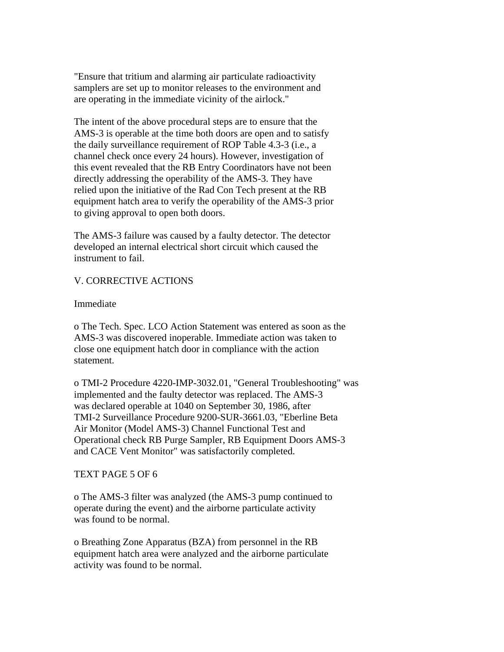"Ensure that tritium and alarming air particulate radioactivity samplers are set up to monitor releases to the environment and are operating in the immediate vicinity of the airlock."

The intent of the above procedural steps are to ensure that the AMS-3 is operable at the time both doors are open and to satisfy the daily surveillance requirement of ROP Table 4.3-3 (i.e., a channel check once every 24 hours). However, investigation of this event revealed that the RB Entry Coordinators have not been directly addressing the operability of the AMS-3. They have relied upon the initiative of the Rad Con Tech present at the RB equipment hatch area to verify the operability of the AMS-3 prior to giving approval to open both doors.

The AMS-3 failure was caused by a faulty detector. The detector developed an internal electrical short circuit which caused the instrument to fail.

# V. CORRECTIVE ACTIONS

Immediate

o The Tech. Spec. LCO Action Statement was entered as soon as the AMS-3 was discovered inoperable. Immediate action was taken to close one equipment hatch door in compliance with the action statement.

o TMI-2 Procedure 4220-IMP-3032.01, "General Troubleshooting" was implemented and the faulty detector was replaced. The AMS-3 was declared operable at 1040 on September 30, 1986, after TMI-2 Surveillance Procedure 9200-SUR-3661.03, "Eberline Beta Air Monitor (Model AMS-3) Channel Functional Test and Operational check RB Purge Sampler, RB Equipment Doors AMS-3 and CACE Vent Monitor" was satisfactorily completed.

## TEXT PAGE 5 OF 6

o The AMS-3 filter was analyzed (the AMS-3 pump continued to operate during the event) and the airborne particulate activity was found to be normal.

o Breathing Zone Apparatus (BZA) from personnel in the RB equipment hatch area were analyzed and the airborne particulate activity was found to be normal.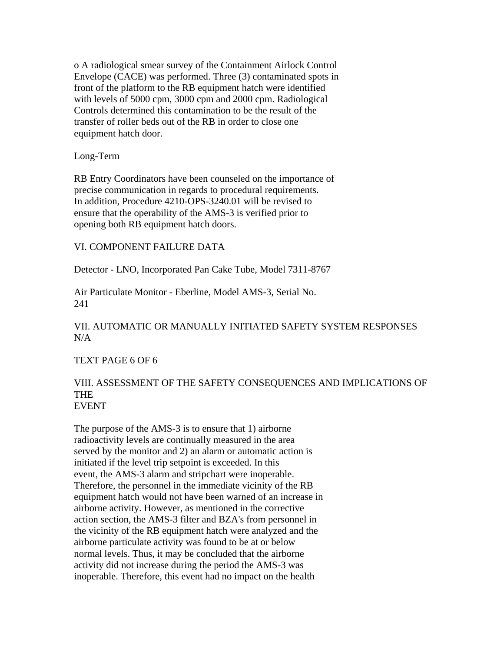o A radiological smear survey of the Containment Airlock Control Envelope (CACE) was performed. Three (3) contaminated spots in front of the platform to the RB equipment hatch were identified with levels of 5000 cpm, 3000 cpm and 2000 cpm. Radiological Controls determined this contamination to be the result of the transfer of roller beds out of the RB in order to close one equipment hatch door.

### Long-Term

RB Entry Coordinators have been counseled on the importance of precise communication in regards to procedural requirements. In addition, Procedure 4210-OPS-3240.01 will be revised to ensure that the operability of the AMS-3 is verified prior to opening both RB equipment hatch doors.

### VI. COMPONENT FAILURE DATA

Detector - LNO, Incorporated Pan Cake Tube, Model 7311-8767

Air Particulate Monitor - Eberline, Model AMS-3, Serial No. 241

# VII. AUTOMATIC OR MANUALLY INITIATED SAFETY SYSTEM RESPONSES  $N/A$

#### TEXT PAGE 6 OF 6

### VIII. ASSESSMENT OF THE SAFETY CONSEQUENCES AND IMPLICATIONS OF **THE** EVENT

The purpose of the AMS-3 is to ensure that 1) airborne radioactivity levels are continually measured in the area served by the monitor and 2) an alarm or automatic action is initiated if the level trip setpoint is exceeded. In this event, the AMS-3 alarm and stripchart were inoperable. Therefore, the personnel in the immediate vicinity of the RB equipment hatch would not have been warned of an increase in airborne activity. However, as mentioned in the corrective action section, the AMS-3 filter and BZA's from personnel in the vicinity of the RB equipment hatch were analyzed and the airborne particulate activity was found to be at or below normal levels. Thus, it may be concluded that the airborne activity did not increase during the period the AMS-3 was inoperable. Therefore, this event had no impact on the health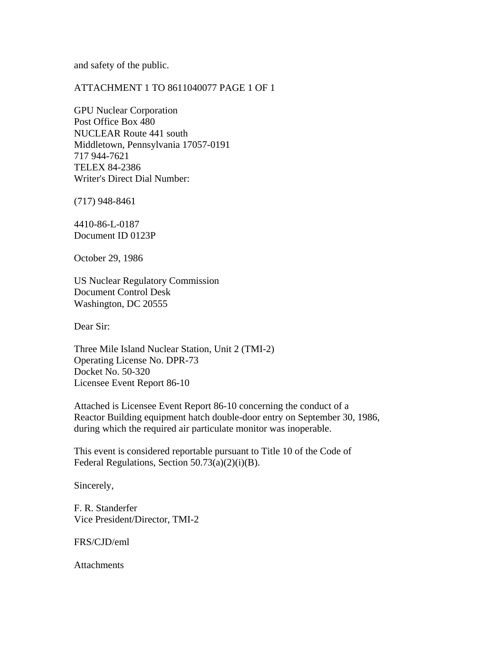and safety of the public.

## ATTACHMENT 1 TO 8611040077 PAGE 1 OF 1

GPU Nuclear Corporation Post Office Box 480 NUCLEAR Route 441 south Middletown, Pennsylvania 17057-0191 717 944-7621 TELEX 84-2386 Writer's Direct Dial Number:

(717) 948-8461

4410-86-L-0187 Document ID 0123P

October 29, 1986

US Nuclear Regulatory Commission Document Control Desk Washington, DC 20555

Dear Sir:

Three Mile Island Nuclear Station, Unit 2 (TMI-2) Operating License No. DPR-73 Docket No. 50-320 Licensee Event Report 86-10

Attached is Licensee Event Report 86-10 concerning the conduct of a Reactor Building equipment hatch double-door entry on September 30, 1986, during which the required air particulate monitor was inoperable.

This event is considered reportable pursuant to Title 10 of the Code of Federal Regulations, Section 50.73(a)(2)(i)(B).

Sincerely,

F. R. Standerfer Vice President/Director, TMI-2

FRS/CJD/eml

**Attachments**